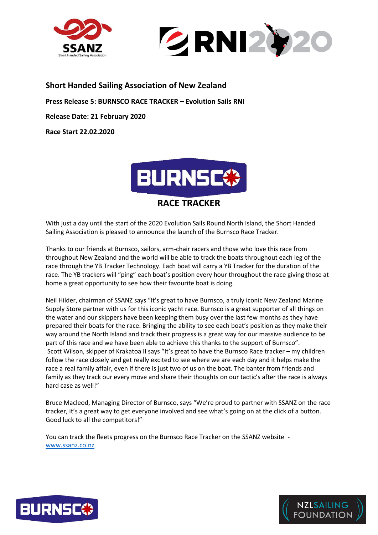



## **Short Handed Sailing Association of New Zealand**

**Press Release 5: BURNSCO RACE TRACKER – Evolution Sails RNI**

**Release Date: 21 February 2020**

**Race Start 22.02.2020**



With just a day until the start of the 2020 Evolution Sails Round North Island, the Short Handed Sailing Association is pleased to announce the launch of the Burnsco Race Tracker.

Thanks to our friends at Burnsco, sailors, arm-chair racers and those who love this race from throughout New Zealand and the world will be able to track the boats throughout each leg of the race through the YB Tracker Technology. Each boat will carry a YB Tracker for the duration of the race. The YB trackers will "ping" each boat's position every hour throughout the race giving those at home a great opportunity to see how their favourite boat is doing.

Neil Hilder, chairman of SSANZ says "It's great to have Burnsco, a truly iconic New Zealand Marine Supply Store partner with us for this iconic yacht race. Burnsco is a great supporter of all things on the water and our skippers have been keeping them busy over the last few months as they have prepared their boats for the race. Bringing the ability to see each boat's position as they make their way around the North Island and track their progress is a great way for our massive audience to be part of this race and we have been able to achieve this thanks to the support of Burnsco". Scott Wilson, skipper of Krakatoa II says "It's great to have the Burnsco Race tracker – my children follow the race closely and get really excited to see where we are each day and it helps make the race a real family affair, even if there is just two of us on the boat. The banter from friends and family as they track our every move and share their thoughts on our tactic's after the race is always hard case as well!"

Bruce Macleod, Managing Director of Burnsco, says "We're proud to partner with SSANZ on the race tracker, it's a great way to get everyone involved and see what's going on at the click of a button. Good luck to all the competitors!"

You can track the fleets progress on the Burnsco Race Tracker on the SSANZ website [www.ssanz.co.nz](http://www.ssanz.co.nz/)